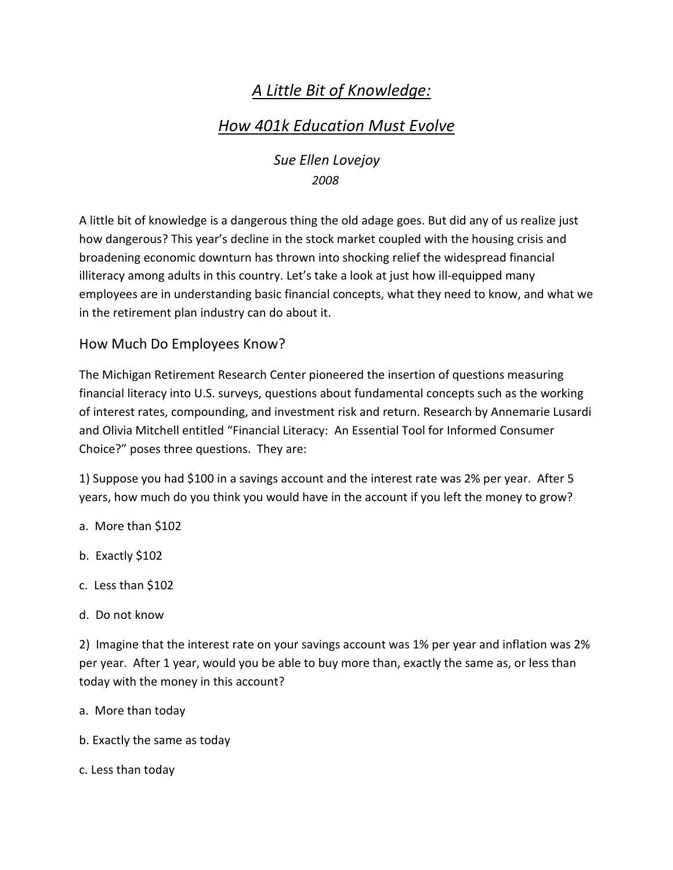# *A Little Bit of Knowledge:*

# *How 401k Education Must Evolve*

 *Sue Ellen Lovejoy 2008* 

A little bit of knowledge is a dangerous thing the old adage goes. But did any of us realize just how dangerous? This year's decline in the stock market coupled with the housing crisis and broadening economic downturn has thrown into shocking relief the widespread financial illiteracy among adults in this country. Let's take a look at just how ill-equipped many employees are in understanding basic financial concepts, what they need to know, and what we in the retirement plan industry can do about it.

### How Much Do Employees Know?

The Michigan Retirement Research Center pioneered the insertion of questions measuring financial literacy into U.S. surveys, questions about fundamental concepts such as the working of interest rates, compounding, and investment risk and return. Research by Annemarie Lusardi and Olivia Mitchell entitled "Financial Literacy: An Essential Tool for Informed Consumer Choice?" poses three questions. They are:

1) Suppose you had \$100 in a savings account and the interest rate was 2% per year. After 5 years, how much do you think you would have in the account if you left the money to grow?

- a. More than \$102
- b. Exactly \$102
- c. Less than \$102
- d. Do not know

2) Imagine that the interest rate on your savings account was 1% per year and inflation was 2% per year. After 1 year, would you be able to buy more than, exactly the same as, or less than today with the money in this account?

- a. More than today
- b. Exactly the same as today
- c. Less than today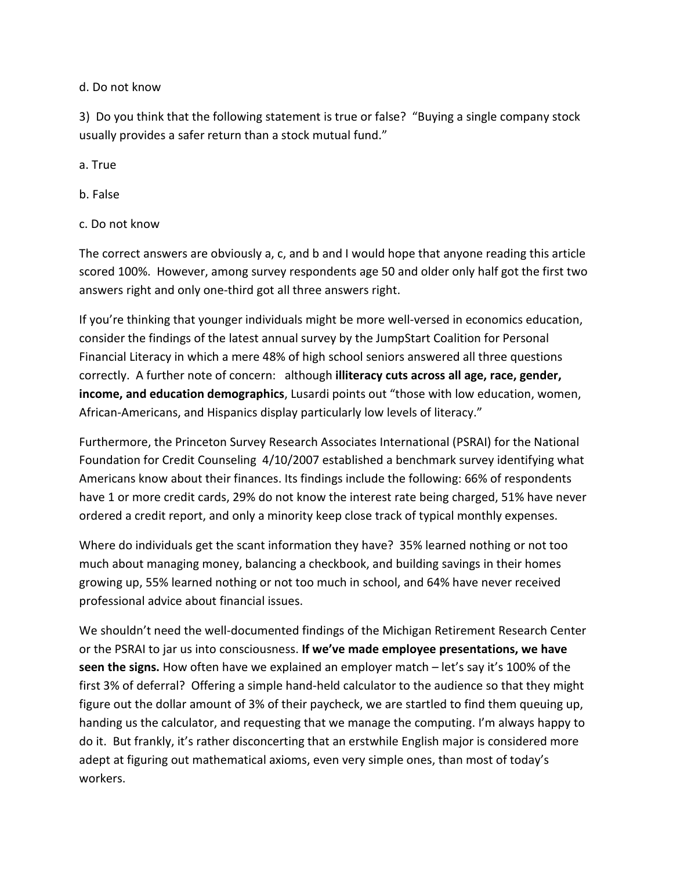d. Do not know

3) Do you think that the following statement is true or false? "Buying a single company stock usually provides a safer return than a stock mutual fund."

a. True

- b. False
- c. Do not know

The correct answers are obviously a, c, and b and I would hope that anyone reading this article scored 100%. However, among survey respondents age 50 and older only half got the first two answers right and only one-third got all three answers right.

If you're thinking that younger individuals might be more well-versed in economics education, consider the findings of the latest annual survey by the JumpStart Coalition for Personal Financial Literacy in which a mere 48% of high school seniors answered all three questions correctly. A further note of concern: although **illiteracy cuts across all age, race, gender, income, and education demographics**, Lusardi points out "those with low education, women, African-Americans, and Hispanics display particularly low levels of literacy."

Furthermore, the Princeton Survey Research Associates International (PSRAI) for the National Foundation for Credit Counseling 4/10/2007 established a benchmark survey identifying what Americans know about their finances. Its findings include the following: 66% of respondents have 1 or more credit cards, 29% do not know the interest rate being charged, 51% have never ordered a credit report, and only a minority keep close track of typical monthly expenses.

Where do individuals get the scant information they have? 35% learned nothing or not too much about managing money, balancing a checkbook, and building savings in their homes growing up, 55% learned nothing or not too much in school, and 64% have never received professional advice about financial issues.

We shouldn't need the well-documented findings of the Michigan Retirement Research Center or the PSRAI to jar us into consciousness. **If we've made employee presentations, we have seen the signs.** How often have we explained an employer match – let's say it's 100% of the first 3% of deferral? Offering a simple hand-held calculator to the audience so that they might figure out the dollar amount of 3% of their paycheck, we are startled to find them queuing up, handing us the calculator, and requesting that we manage the computing. I'm always happy to do it. But frankly, it's rather disconcerting that an erstwhile English major is considered more adept at figuring out mathematical axioms, even very simple ones, than most of today's workers.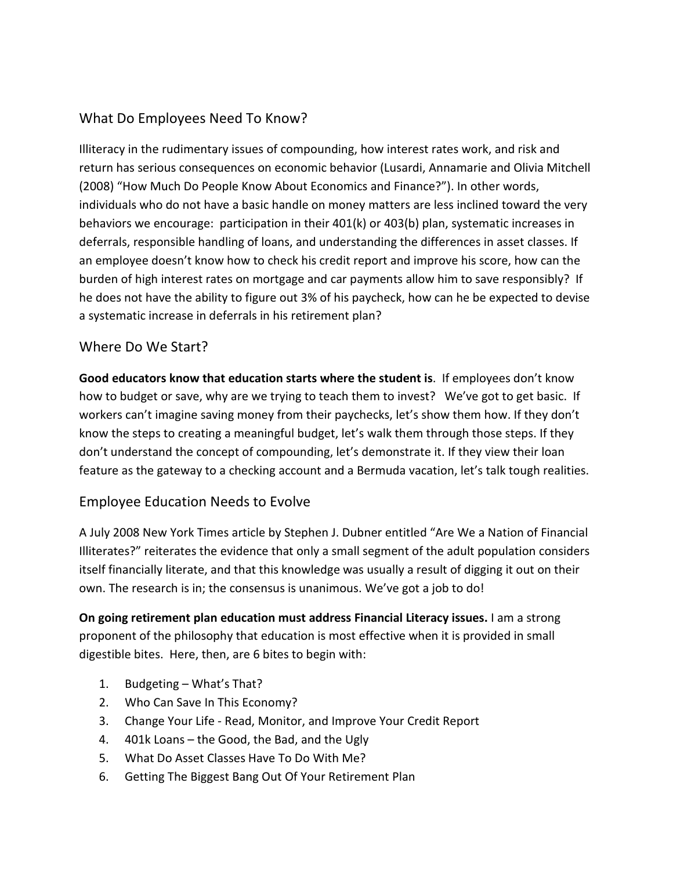## What Do Employees Need To Know?

Illiteracy in the rudimentary issues of compounding, how interest rates work, and risk and return has serious consequences on economic behavior (Lusardi, Annamarie and Olivia Mitchell (2008) "How Much Do People Know About Economics and Finance?"). In other words, individuals who do not have a basic handle on money matters are less inclined toward the very behaviors we encourage: participation in their 401(k) or 403(b) plan, systematic increases in deferrals, responsible handling of loans, and understanding the differences in asset classes. If an employee doesn't know how to check his credit report and improve his score, how can the burden of high interest rates on mortgage and car payments allow him to save responsibly? If he does not have the ability to figure out 3% of his paycheck, how can he be expected to devise a systematic increase in deferrals in his retirement plan?

#### Where Do We Start?

**Good educators know that education starts where the student is**. If employees don't know how to budget or save, why are we trying to teach them to invest? We've got to get basic. If workers can't imagine saving money from their paychecks, let's show them how. If they don't know the steps to creating a meaningful budget, let's walk them through those steps. If they don't understand the concept of compounding, let's demonstrate it. If they view their loan feature as the gateway to a checking account and a Bermuda vacation, let's talk tough realities.

#### Employee Education Needs to Evolve

A July 2008 New York Times article by Stephen J. Dubner entitled "Are We a Nation of Financial Illiterates?" reiterates the evidence that only a small segment of the adult population considers itself financially literate, and that this knowledge was usually a result of digging it out on their own. The research is in; the consensus is unanimous. We've got a job to do!

**On going retirement plan education must address Financial Literacy issues.** I am a strong proponent of the philosophy that education is most effective when it is provided in small digestible bites. Here, then, are 6 bites to begin with:

- 1. Budgeting What's That?
- 2. Who Can Save In This Economy?
- 3. Change Your Life Read, Monitor, and Improve Your Credit Report
- 4. 401k Loans the Good, the Bad, and the Ugly
- 5. What Do Asset Classes Have To Do With Me?
- 6. Getting The Biggest Bang Out Of Your Retirement Plan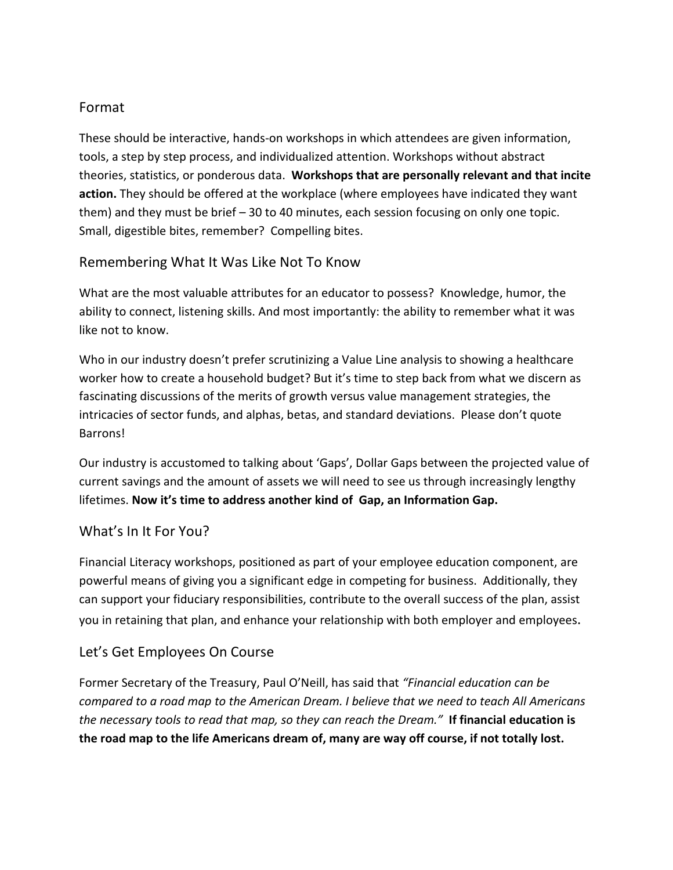#### Format

These should be interactive, hands-on workshops in which attendees are given information, tools, a step by step process, and individualized attention. Workshops without abstract theories, statistics, or ponderous data. **Workshops that are personally relevant and that incite action.** They should be offered at the workplace (where employees have indicated they want them) and they must be brief – 30 to 40 minutes, each session focusing on only one topic. Small, digestible bites, remember? Compelling bites.

#### Remembering What It Was Like Not To Know

What are the most valuable attributes for an educator to possess? Knowledge, humor, the ability to connect, listening skills. And most importantly: the ability to remember what it was like not to know.

Who in our industry doesn't prefer scrutinizing a Value Line analysis to showing a healthcare worker how to create a household budget? But it's time to step back from what we discern as fascinating discussions of the merits of growth versus value management strategies, the intricacies of sector funds, and alphas, betas, and standard deviations. Please don't quote Barrons!

Our industry is accustomed to talking about 'Gaps', Dollar Gaps between the projected value of current savings and the amount of assets we will need to see us through increasingly lengthy lifetimes. **Now it's time to address another kind of Gap, an Information Gap.** 

#### What's In It For You?

Financial Literacy workshops, positioned as part of your employee education component, are powerful means of giving you a significant edge in competing for business. Additionally, they can support your fiduciary responsibilities, contribute to the overall success of the plan, assist you in retaining that plan, and enhance your relationship with both employer and employees.

### Let's Get Employees On Course

Former Secretary of the Treasury, Paul O'Neill, has said that *"Financial education can be compared to a road map to the American Dream. I believe that we need to teach All Americans the necessary tools to read that map, so they can reach the Dream."* **If financial education is the road map to the life Americans dream of, many are way off course, if not totally lost.**